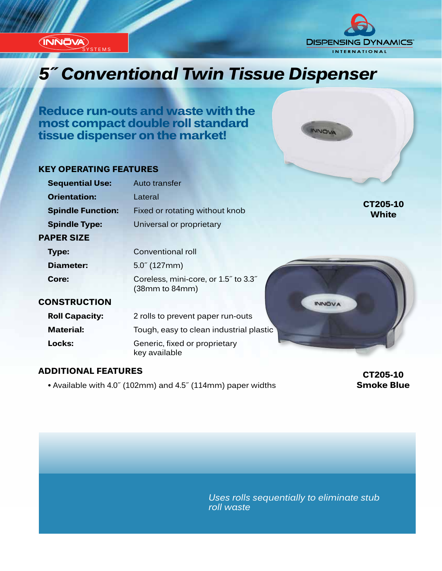**(INNOVA) STEMS** 

# **DISPENSING DYNAMICS® INTERNATIONAL**

INNOVA

# *Innovation...Design...Solutions 5˝ Conventional Twin Tissue Dispenser*

**Reduce run-outs and waste with the most compact double roll standard tissue dispenser on the market!**

#### **KEY OPERATING FEATURES**

| Auto transfer                                          |                          |
|--------------------------------------------------------|--------------------------|
| Lateral                                                |                          |
| Fixed or rotating without knob                         | CT205-10<br><b>White</b> |
| Universal or proprietary                               |                          |
|                                                        |                          |
| Conventional roll                                      |                          |
| $5.0^{7}$ (127mm)                                      |                          |
| Coreless, mini-core, or 1.5" to 3.3"<br>(38mm to 84mm) |                          |
| <b>INNOVA</b>                                          |                          |
| 2 rolls to prevent paper run-outs                      |                          |
| Tough, easy to clean industrial plastic                |                          |
| Generic, fixed or proprietary<br>key available         |                          |
|                                                        |                          |

#### **ADDITIONAL FEATURES**

 **•** Available with 4.0˝ (102mm) and 4.5˝ (114mm) paper widths

**CT205-10 Smoke Blue**

*Uses rolls sequentially to eliminate stub roll waste*